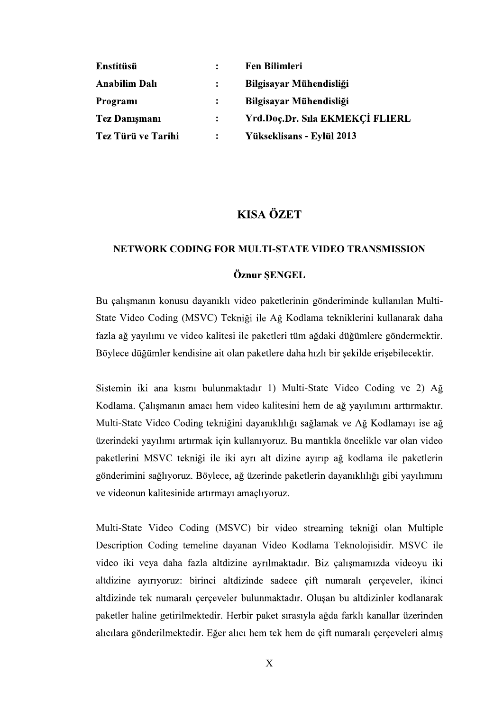| <b>Enstitüsü</b>     |                | <b>Fen Bilimleri</b>            |
|----------------------|----------------|---------------------------------|
| <b>Anabilim Dalı</b> | $\ddot{\cdot}$ | Bilgisayar Mühendisliği         |
| Programi             | $\ddot{\cdot}$ | Bilgisayar Mühendisliği         |
| <b>Tez Danişmanı</b> | $\ddot{\cdot}$ | Yrd.Doç.Dr. Sıla EKMEKÇİ FLIERL |
| Tez Türü ve Tarihi   | $\ddot{\cdot}$ | Yükseklisans - Eylül 2013       |

# **KISA ÖZET**

#### NETWORK CODING FOR MULTI-STATE VIDEO TRANSMISSION

### Öznur SENGEL

Bu calismanın konusu davanıklı video paketlerinin gönderiminde kullanılan Multi-State Video Coding (MSVC) Tekniği ile Ağ Kodlama tekniklerini kullanarak daha fazla ağ yayılımı ve video kalitesi ile paketleri tüm ağdaki düğümlere göndermektir. Böylece düğümler kendisine ait olan paketlere daha hızlı bir şekilde erişebilecektir.

Sistemin iki ana kısmı bulunmaktadır 1) Multi-State Video Coding ve 2) Ağ Kodlama. Çalışmanın amacı hem video kalitesini hem de ağ yayılımını arttırmaktır. Multi-State Video Coding tekniğini dayanıklılığı sağlamak ve Ağ Kodlamayı ise ağ üzerindeki yayılımı artırmak için kullanıyoruz. Bu mantıkla öncelikle var olan yideo paketlerini MSVC tekniği ile iki ayrı alt dizine ayırıp ağ kodlama ile paketlerin gönderimini sağlıyoruz. Böylece, ağ üzerinde paketlerin dayanıklılığı gibi yayılımını ve videonun kalitesinide artırmayı amaçlıyoruz.

Multi-State Video Coding (MSVC) bir video streaming tekniği olan Multiple Description Coding temeline dayanan Video Kodlama Teknolojisidir. MSVC ile video iki veya daha fazla altdizine ayrılmaktadır. Biz çalışmamızda videoyu iki altdizine ayırıyoruz: birinci altdizinde sadece çift numaralı çerçeveler, ikinci altdizinde tek numaralı çerçeveler bulunmaktadır. Oluşan bu altdizinler kodlanarak paketler haline getirilmektedir. Herbir paket sırasıyla ağda farklı kanallar üzerinden alıcılara gönderilmektedir. Eğer alıcı hem tek hem de çift numaralı çerçeveleri almış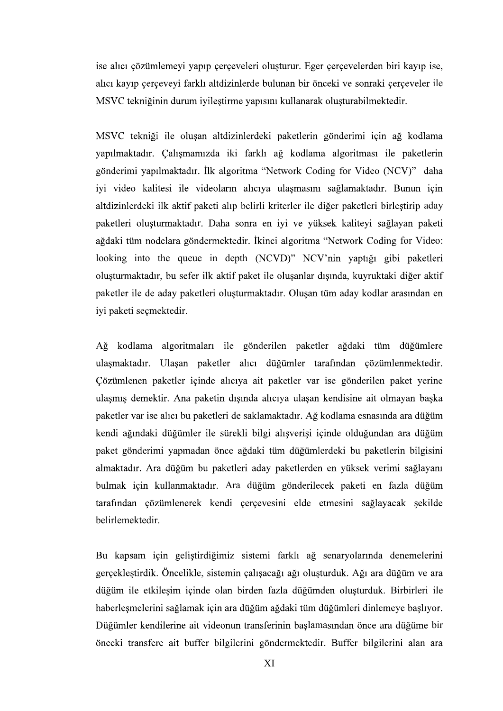ise alıcı çözümlemeyi yapıp çerçeveleri oluşturur. Eger çerçevelerden biri kayıp ise, alıcı kayıp çerçeveyi farklı altdizinlerde bulunan bir önceki ve sonraki çerçeveler ile MSVC tekniğinin durum iyileştirme yapısını kullanarak oluşturabilmektedir.

MSVC tekniği ile oluşan altdizinlerdeki paketlerin gönderimi için ağ kodlama yapılmaktadır. Çalışmamızda iki farklı ağ kodlama algoritması ile paketlerin gönderimi yapılmaktadır. İlk algoritma "Network Coding for Video (NCV)" daha iyi video kalitesi ile videoların alıcıya ulaşmasını sağlamaktadır. Bunun için altdizinlerdeki ilk aktif paketi alıp belirli kriterler ile diğer paketleri birleştirip aday paketleri oluşturmaktadır. Daha sonra en iyi ve yüksek kaliteyi sağlayan paketi ağdaki tüm nodelara göndermektedir. İkinci algoritma "Network Coding for Video: looking into the queue in depth (NCVD)" NCV'nin yaptığı gibi paketleri oluşturmaktadır, bu sefer ilk aktif paket ile oluşanlar dışında, kuyruktaki diğer aktif paketler ile de aday paketleri oluşturmaktadır. Oluşan tüm aday kodlar arasından en iyi paketi seçmektedir.

Ağ kodlama algoritmaları ile gönderilen paketler ağdaki tüm düğümlere ulaşmaktadır. Ulaşan paketler alıcı düğümler tarafından çözümlenmektedir. Cözümlenen paketler içinde alıcıya ait paketler var ise gönderilen paket yerine ulaşmış demektir. Ana paketin dışında alıcıya ulaşan kendisine ait olmayan başka paketler var ise alıcı bu paketleri de saklamaktadır. Ağ kodlama esnasında ara düğüm kendi ağındaki düğümler ile sürekli bilgi alışverişi içinde olduğundan ara düğüm paket gönderimi yapmadan önce ağdaki tüm düğümlerdeki bu paketlerin bilgisini almaktadır. Ara düğüm bu paketleri aday paketlerden en yüksek verimi sağlayanı bulmak için kullanmaktadır. Ara düğüm gönderilecek paketi en fazla düğüm tarafından çözümlenerek kendi çerçevesini elde etmesini sağlayacak şekilde belirlemektedir.

Bu kapsam için geliştirdiğimiz sistemi farklı ağ senaryolarında denemelerini gerçekleştirdik. Öncelikle, sistemin çalışacağı ağı oluşturduk. Ağı ara düğüm ve ara düğüm ile etkilesim içinde olan birden fazla düğümden oluşturduk. Birbirleri ile haberleşmelerini sağlamak için ara düğüm ağdaki tüm düğümleri dinlemeye başlıyor. Düğümler kendilerine ait videonun transferinin başlamasından önce ara düğüme bir önceki transfere ait buffer bilgilerini göndermektedir. Buffer bilgilerini alan ara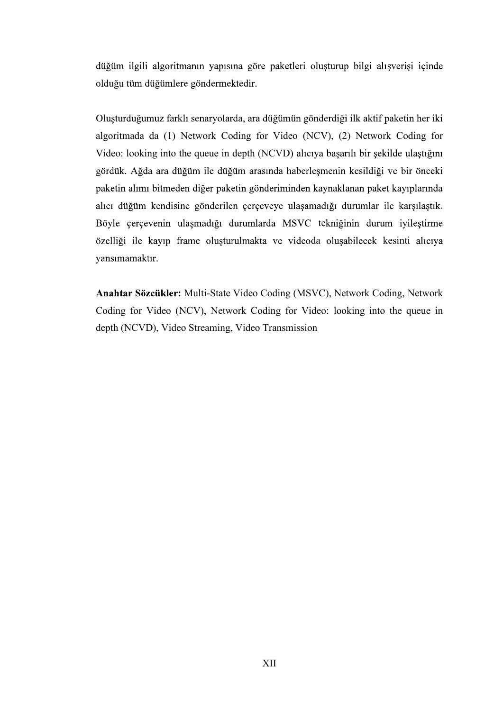düğüm ilgili algoritmanın yapısına göre paketleri oluşturup bilgi alışverişi içinde

olduğu tüm düğümlere göndermektedir.<br>Oluşturduğumuz farklı senaryolarda, ara düğümün gönderdiği ilk aktif paketin her iki<br>algoritmada da (1) Network Coding for Video (NCV), (2) Network Coding for Video: looking into the queue in depth (NCVD) aliciya başarılı bir şekilde ulaştığını gördük. Ağda ara düğüm ile düğüm arasında haberleşmenin kesildiği ve bir önceki paketin alımı bitmeden diğer paketin gönderiminden kaynaklanan paket kayıplarında alıcı düğüm kendisine gönderilen çerçeveye ulaşamadığı durumlar ile karşılaştık.<br>Böyle çerçevenin ulaşmadığı durumlarda MSVC tekniğinin durum iyileştirme özelliği ile kayıp frame oluşturulmakta ve videoda oluşabilecek kesinti alıcıya vansımamaktır.

Anahtar Sözcükler: Multi-State Video Coding (MSVC), Network Coding, Network Coding for Video (NCV), Network Coding for Video: looking into the queue in depth (NCVD), Video Streaming, Video Transmission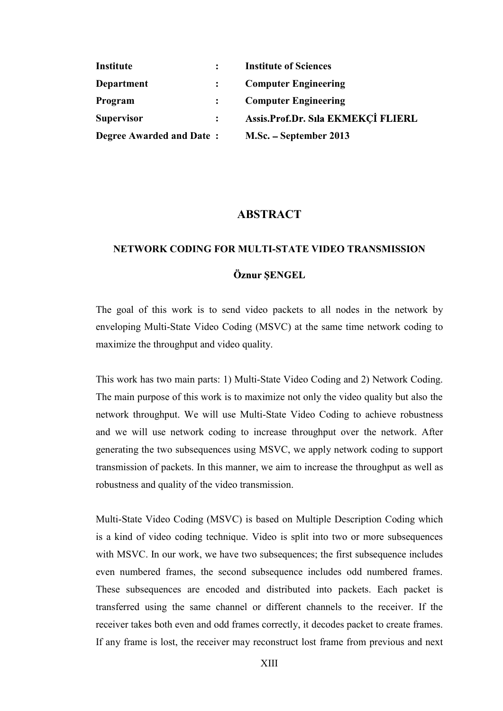| Institute                       | <b>Institute of Sciences</b>       |
|---------------------------------|------------------------------------|
| Department                      | <b>Computer Engineering</b>        |
| <b>Program</b>                  | <b>Computer Engineering</b>        |
| <b>Supervisor</b>               | Assis.Prof.Dr. Sıla EKMEKÇİ FLIERL |
| <b>Degree Awarded and Date:</b> | M.Sc. – September 2013             |

## **ABSTRACT**

#### NETWORK CODING FOR MULTI-STATE VIDEO TRANSMISSION

## Öznur SENGEL

The goal of this work is to send video packets to all nodes in the network by enveloping Multi-State Video Coding (MSVC) at the same time network coding to maximize the throughput and video quality.

This work has two main parts: 1) Multi-State Video Coding and 2) Network Coding. The main purpose of this work is to maximize not only the video quality but also the network throughput. We will use Multi-State Video Coding to achieve robustness and we will use network coding to increase throughput over the network. After generating the two subsequences using MSVC, we apply network coding to support transmission of packets. In this manner, we aim to increase the throughput as well as robustness and quality of the video transmission.

Multi-State Video Coding (MSVC) is based on Multiple Description Coding which is a kind of video coding technique. Video is split into two or more subsequences with MSVC. In our work, we have two subsequences; the first subsequence includes even numbered frames, the second subsequence includes odd numbered frames. These subsequences are encoded and distributed into packets. Each packet is transferred using the same channel or different channels to the receiver. If the receiver takes both even and odd frames correctly, it decodes packet to create frames. If any frame is lost, the receiver may reconstruct lost frame from previous and next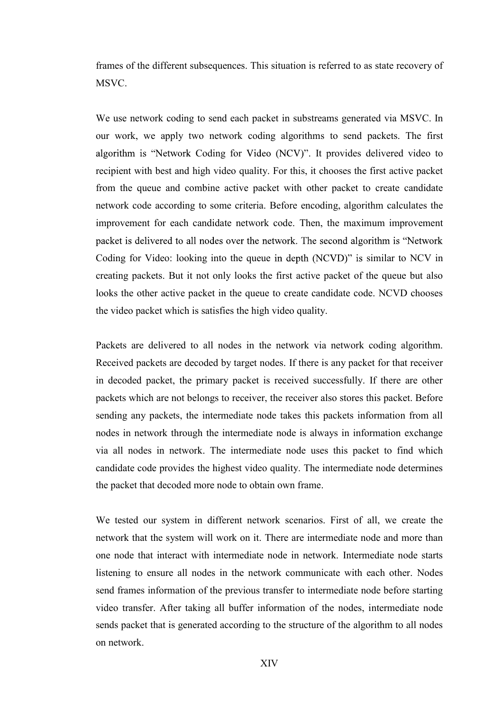frames of the different subsequences. This situation is referred to as state recovery of MSVC.

We use network coding to send each packet in substreams generated via MSVC. In our work, we apply two network coding algorithms to send packets. The first algorithm is "Network Coding for Video (NCV)". It provides delivered video to recipient with best and high video quality. For this, it chooses the first active packet from the queue and combine active packet with other packet to create candidate network code according to some criteria. Before encoding, algorithm calculates the improvement for each candidate network code. Then, the maximum improvement packet is delivered to all nodes over the network. The second algorithm is "Network" Coding for Video: looking into the queue in depth (NCVD)" is similar to NCV in creating packets. But it not only looks the first active packet of the queue but also looks the other active packet in the queue to create candidate code. NCVD chooses the video packet which is satisfies the high video quality.

Packets are delivered to all nodes in the network via network coding algorithm. Received packets are decoded by target nodes. If there is any packet for that receiver in decoded packet, the primary packet is received successfully. If there are other packets which are not belongs to receiver, the receiver also stores this packet. Before sending any packets, the intermediate node takes this packets information from all nodes in network through the intermediate node is always in information exchange via all nodes in network. The intermediate node uses this packet to find which candidate code provides the highest video quality. The intermediate node determines the packet that decoded more node to obtain own frame.

We tested our system in different network scenarios. First of all, we create the network that the system will work on it. There are intermediate node and more than one node that interact with intermediate node in network. Intermediate node starts listening to ensure all nodes in the network communicate with each other. Nodes send frames information of the previous transfer to intermediate node before starting video transfer. After taking all buffer information of the nodes, intermediate node sends packet that is generated according to the structure of the algorithm to all nodes on network.